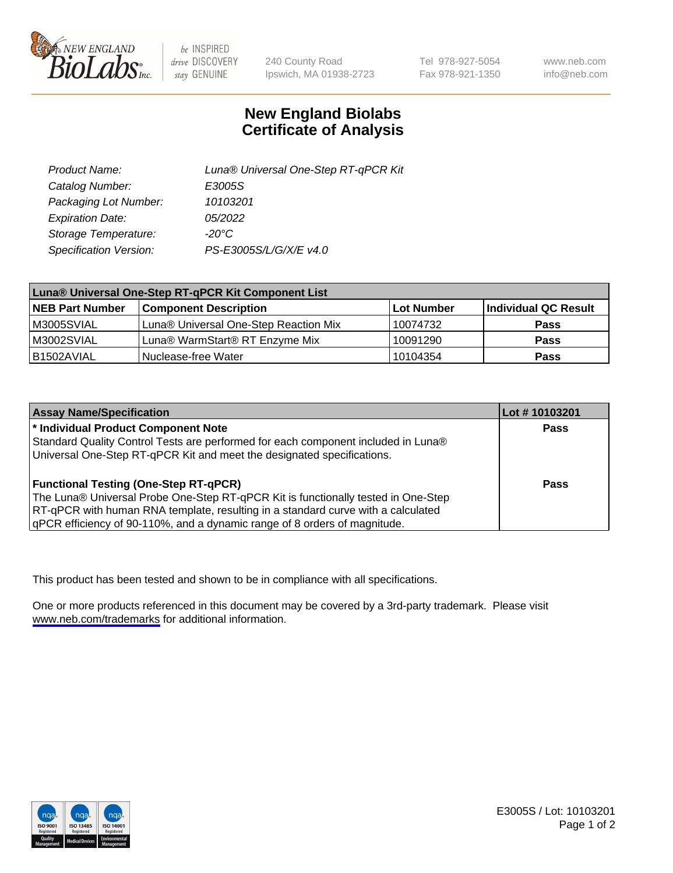

be INSPIRED drive DISCOVERY stay GENUINE

240 County Road Ipswich, MA 01938-2723 Tel 978-927-5054 Fax 978-921-1350

www.neb.com info@neb.com

## **New England Biolabs Certificate of Analysis**

| Product Name:           | Luna® Universal One-Step RT-qPCR Kit |
|-------------------------|--------------------------------------|
| Catalog Number:         | E3005S                               |
| Packaging Lot Number:   | 10103201                             |
| <b>Expiration Date:</b> | 05/2022                              |
| Storage Temperature:    | $-20^{\circ}$ C                      |
| Specification Version:  | PS-E3005S/L/G/X/E v4.0               |

| Luna® Universal One-Step RT-qPCR Kit Component List |                                       |            |                      |  |
|-----------------------------------------------------|---------------------------------------|------------|----------------------|--|
| <b>NEB Part Number</b>                              | <b>Component Description</b>          | Lot Number | Individual QC Result |  |
| M3005SVIAL                                          | Luna® Universal One-Step Reaction Mix | 10074732   | <b>Pass</b>          |  |
| M3002SVIAL                                          | Luna® WarmStart® RT Enzyme Mix        | 10091290   | <b>Pass</b>          |  |
| B1502AVIAL                                          | Nuclease-free Water                   | 10104354   | <b>Pass</b>          |  |

| <b>Assay Name/Specification</b>                                                   | Lot #10103201 |
|-----------------------------------------------------------------------------------|---------------|
| * Individual Product Component Note                                               | <b>Pass</b>   |
| Standard Quality Control Tests are performed for each component included in Luna® |               |
| Universal One-Step RT-qPCR Kit and meet the designated specifications.            |               |
| <b>Functional Testing (One-Step RT-qPCR)</b>                                      | Pass          |
| The Luna® Universal Probe One-Step RT-qPCR Kit is functionally tested in One-Step |               |
| RT-qPCR with human RNA template, resulting in a standard curve with a calculated  |               |
| gPCR efficiency of 90-110%, and a dynamic range of 8 orders of magnitude.         |               |

This product has been tested and shown to be in compliance with all specifications.

One or more products referenced in this document may be covered by a 3rd-party trademark. Please visit <www.neb.com/trademarks>for additional information.